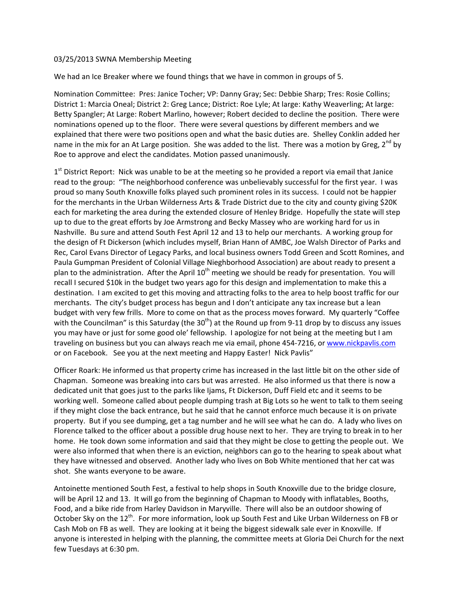## 03/25/2013 SWNA Membership Meeting

We had an Ice Breaker where we found things that we have in common in groups of 5.

Nomination Committee: Pres: Janice Tocher; VP: Danny Gray; Sec: Debbie Sharp; Tres: Rosie Collins; District 1: Marcia Oneal; District 2: Greg Lance; District: Roe Lyle; At large: Kathy Weaverling; At large: Betty Spangler; At Large: Robert Marlino, however; Robert decided to decline the position. There were nominations opened up to the floor. There were several questions by different members and we explained that there were two positions open and what the basic duties are. Shelley Conklin added her name in the mix for an At Large position. She was added to the list. There was a motion by Greg, 2<sup>nd</sup> by Roe to approve and elect the candidates. Motion passed unanimously.

 $1<sup>st</sup>$  District Report: Nick was unable to be at the meeting so he provided a report via email that Janice read to the group: "The neighborhood conference was unbelievably successful for the first year. I was proud so many South Knoxville folks played such prominent roles in its success. I could not be happier for the merchants in the Urban Wilderness Arts & Trade District due to the city and county giving \$20K each for marketing the area during the extended closure of Henley Bridge. Hopefully the state will step up to due to the great efforts by Joe Armstrong and Becky Massey who are working hard for us in Nashville. Bu sure and attend South Fest April 12 and 13 to help our merchants. A working group for the design of Ft Dickerson (which includes myself, Brian Hann of AMBC, Joe Walsh Director of Parks and Rec, Carol Evans Director of Legacy Parks, and local business owners Todd Green and Scott Romines, and Paula Gumpman President of Colonial Village Nieghborhood Association) are about ready to present a plan to the administration. After the April  $10<sup>th</sup>$  meeting we should be ready for presentation. You will recall I secured \$10k in the budget two years ago for this design and implementation to make this a destination. I am excited to get this moving and attracting folks to the area to help boost traffic for our merchants. The city's budget process has begun and I don't anticipate any tax increase but a lean budget with very few frills. More to come on that as the process moves forward. My quarterly "Coffee with the Councilman" is this Saturday (the  $30<sup>th</sup>$ ) at the Round up from 9-11 drop by to discuss any issues you may have or just for some good ole' fellowship. I apologize for not being at the meeting but I am traveling on business but you can always reach me via email, phone 454-7216, or www.nickpavlis.com or on Facebook. See you at the next meeting and Happy Easter! Nick Pavlis"

Officer Roark: He informed us that property crime has increased in the last little bit on the other side of Chapman. Someone was breaking into cars but was arrested. He also informed us that there is now a dedicated unit that goes just to the parks like Ijams, Ft Dickerson, Duff Field etc and it seems to be working well. Someone called about people dumping trash at Big Lots so he went to talk to them seeing if they might close the back entrance, but he said that he cannot enforce much because it is on private property. But if you see dumping, get a tag number and he will see what he can do. A lady who lives on Florence talked to the officer about a possible drug house next to her. They are trying to break in to her home. He took down some information and said that they might be close to getting the people out. We were also informed that when there is an eviction, neighbors can go to the hearing to speak about what they have witnessed and observed. Another lady who lives on Bob White mentioned that her cat was shot. She wants everyone to be aware.

Antoinette mentioned South Fest, a festival to help shops in South Knoxville due to the bridge closure, will be April 12 and 13. It will go from the beginning of Chapman to Moody with inflatables, Booths, Food, and a bike ride from Harley Davidson in Maryville. There will also be an outdoor showing of October Sky on the 12<sup>th</sup>. For more information, look up South Fest and Like Urban Wilderness on FB or Cash Mob on FB as well. They are looking at it being the biggest sidewalk sale ever in Knoxville. If anyone is interested in helping with the planning, the committee meets at Gloria Dei Church for the next few Tuesdays at 6:30 pm.